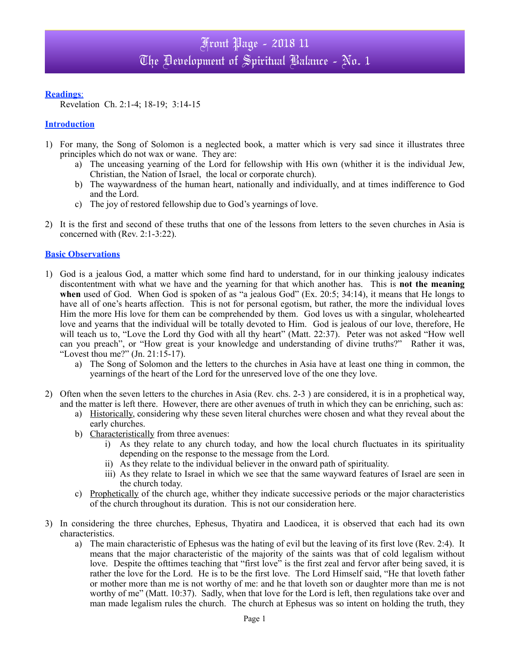#### **Readings**:

Revelation Ch. 2:1-4; 18-19; 3:14-15

### **Introduction**

- 1) For many, the Song of Solomon is a neglected book, a matter which is very sad since it illustrates three principles which do not wax or wane. They are:
	- a) The unceasing yearning of the Lord for fellowship with His own (whither it is the individual Jew, Christian, the Nation of Israel, the local or corporate church).
	- b) The waywardness of the human heart, nationally and individually, and at times indifference to God and the Lord.
	- c) The joy of restored fellowship due to God's yearnings of love.
- 2) It is the first and second of these truths that one of the lessons from letters to the seven churches in Asia is concerned with (Rev. 2:1-3:22).

### **Basic Observations**

- 1) God is a jealous God, a matter which some find hard to understand, for in our thinking jealousy indicates discontentment with what we have and the yearning for that which another has. This is **not the meaning when** used of God. When God is spoken of as "a jealous God" (Ex. 20:5; 34:14), it means that He longs to have all of one's hearts affection. This is not for personal egotism, but rather, the more the individual loves Him the more His love for them can be comprehended by them. God loves us with a singular, wholehearted love and yearns that the individual will be totally devoted to Him. God is jealous of our love, therefore, He will teach us to, "Love the Lord thy God with all thy heart" (Matt. 22:37). Peter was not asked "How well can you preach", or "How great is your knowledge and understanding of divine truths?" Rather it was, "Lovest thou me?" (Jn. 21:15-17).
	- a) The Song of Solomon and the letters to the churches in Asia have at least one thing in common, the yearnings of the heart of the Lord for the unreserved love of the one they love.
- 2) Often when the seven letters to the churches in Asia (Rev. chs. 2-3 ) are considered, it is in a prophetical way, and the matter is left there. However, there are other avenues of truth in which they can be enriching, such as:
	- a) Historically, considering why these seven literal churches were chosen and what they reveal about the early churches.
	- b) Characteristically from three avenues:
		- i) As they relate to any church today, and how the local church fluctuates in its spirituality depending on the response to the message from the Lord.
		- ii) As they relate to the individual believer in the onward path of spirituality.
		- iii) As they relate to Israel in which we see that the same wayward features of Israel are seen in the church today.
	- c) Prophetically of the church age, whither they indicate successive periods or the major characteristics of the church throughout its duration. This is not our consideration here.
- 3) In considering the three churches, Ephesus, Thyatira and Laodicea, it is observed that each had its own characteristics.
	- a) The main characteristic of Ephesus was the hating of evil but the leaving of its first love (Rev. 2:4). It means that the major characteristic of the majority of the saints was that of cold legalism without love. Despite the ofttimes teaching that "first love" is the first zeal and fervor after being saved, it is rather the love for the Lord. He is to be the first love. The Lord Himself said, "He that loveth father or mother more than me is not worthy of me: and he that loveth son or daughter more than me is not worthy of me" (Matt. 10:37). Sadly, when that love for the Lord is left, then regulations take over and man made legalism rules the church. The church at Ephesus was so intent on holding the truth, they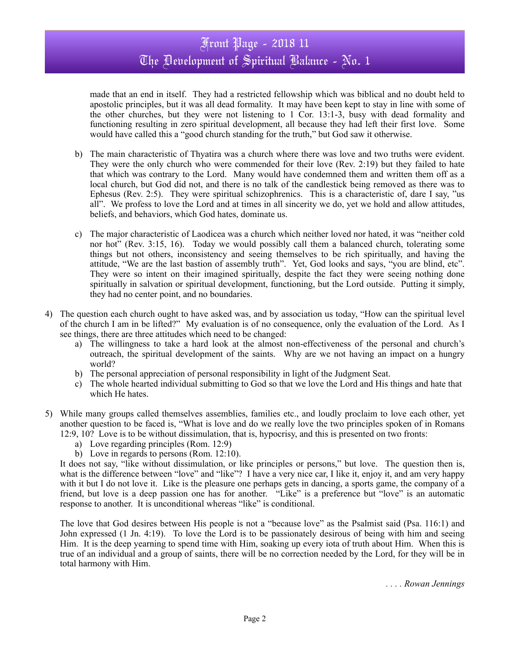## Front Page - 2018 11 The Development of Spiritual Balance - No. 1

made that an end in itself. They had a restricted fellowship which was biblical and no doubt held to apostolic principles, but it was all dead formality. It may have been kept to stay in line with some of the other churches, but they were not listening to 1 Cor. 13:1-3, busy with dead formality and functioning resulting in zero spiritual development, all because they had left their first love. Some would have called this a "good church standing for the truth," but God saw it otherwise.

- b) The main characteristic of Thyatira was a church where there was love and two truths were evident. They were the only church who were commended for their love (Rev. 2:19) but they failed to hate that which was contrary to the Lord. Many would have condemned them and written them off as a local church, but God did not, and there is no talk of the candlestick being removed as there was to Ephesus (Rev. 2:5). They were spiritual schizophrenics. This is a characteristic of, dare I say, "us all". We profess to love the Lord and at times in all sincerity we do, yet we hold and allow attitudes, beliefs, and behaviors, which God hates, dominate us.
- c) The major characteristic of Laodicea was a church which neither loved nor hated, it was "neither cold nor hot" (Rev. 3:15, 16). Today we would possibly call them a balanced church, tolerating some things but not others, inconsistency and seeing themselves to be rich spiritually, and having the attitude, "We are the last bastion of assembly truth". Yet, God looks and says, "you are blind, etc". They were so intent on their imagined spiritually, despite the fact they were seeing nothing done spiritually in salvation or spiritual development, functioning, but the Lord outside. Putting it simply, they had no center point, and no boundaries.
- 4) The question each church ought to have asked was, and by association us today, "How can the spiritual level of the church I am in be lifted?" My evaluation is of no consequence, only the evaluation of the Lord. As I see things, there are three attitudes which need to be changed:
	- a) The willingness to take a hard look at the almost non-effectiveness of the personal and church's outreach, the spiritual development of the saints. Why are we not having an impact on a hungry world?
	- b) The personal appreciation of personal responsibility in light of the Judgment Seat.
	- c) The whole hearted individual submitting to God so that we love the Lord and His things and hate that which He hates.
- 5) While many groups called themselves assemblies, families etc., and loudly proclaim to love each other, yet another question to be faced is, "What is love and do we really love the two principles spoken of in Romans 12:9, 10? Love is to be without dissimulation, that is, hypocrisy, and this is presented on two fronts:
	- a) Love regarding principles (Rom. 12:9)
	- b) Love in regards to persons (Rom. 12:10).

It does not say, "like without dissimulation, or like principles or persons," but love. The question then is, what is the difference between "love" and "like"? I have a very nice car, I like it, enjoy it, and am very happy with it but I do not love it. Like is the pleasure one perhaps gets in dancing, a sports game, the company of a friend, but love is a deep passion one has for another. "Like" is a preference but "love" is an automatic response to another. It is unconditional whereas "like" is conditional.

The love that God desires between His people is not a "because love" as the Psalmist said (Psa. 116:1) and John expressed (1 Jn. 4:19). To love the Lord is to be passionately desirous of being with him and seeing Him. It is the deep yearning to spend time with Him, soaking up every iota of truth about Him. When this is true of an individual and a group of saints, there will be no correction needed by the Lord, for they will be in total harmony with Him.

*. . . . Rowan Jennings*